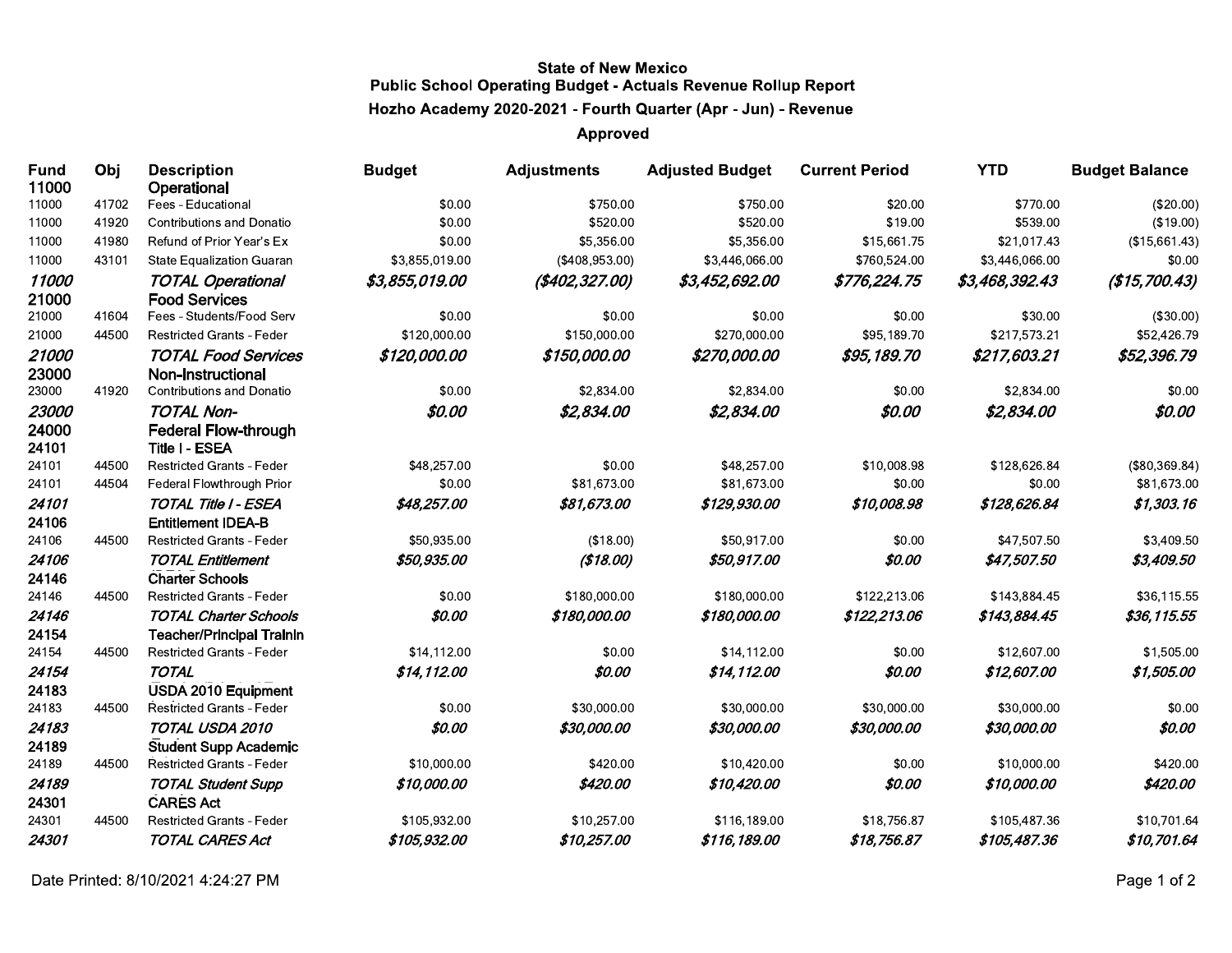## **State of New Mexico Public School Operating Budget - Actuals Revenue Rollup Report** Hozho Academy 2020-2021 - Fourth Quarter (Apr - Jun) - Revenue

## **Approved**

| <b>Fund</b><br>11000 | Obj   | <b>Description</b><br>Operational                    | <b>Budget</b>  | <b>Adjustments</b> | <b>Adjusted Budget</b> | <b>Current Period</b> | <b>YTD</b>     | <b>Budget Balance</b> |
|----------------------|-------|------------------------------------------------------|----------------|--------------------|------------------------|-----------------------|----------------|-----------------------|
| 11000                | 41702 | Fees - Educational                                   | \$0.00         | \$750.00           | \$750.00               | \$20.00               | \$770.00       | (\$20.00)             |
| 11000                | 41920 | <b>Contributions and Donatio</b>                     | \$0.00         | \$520.00           | \$520.00               | \$19.00               | \$539.00       | (\$19.00)             |
| 11000                | 41980 | Refund of Prior Year's Ex                            | \$0.00         | \$5,356.00         | \$5,356.00             | \$15,661.75           | \$21,017.43    | (\$15,661.43)         |
| 11000                | 43101 | <b>State Equalization Guaran</b>                     | \$3,855,019.00 | (\$408,953.00)     | \$3,446,066.00         | \$760,524.00          | \$3,446,066.00 | \$0.00                |
| 11000                |       | <b>TOTAL Operational</b>                             | \$3,855,019.00 | (\$402,327.00)     | \$3,452,692.00         | \$776,224.75          | \$3,468,392.43 | (\$15,700.43)         |
| 21000                |       | <b>Food Services</b>                                 |                |                    |                        |                       |                |                       |
| 21000                | 41604 | Fees - Students/Food Serv                            | \$0.00         | \$0.00             | \$0.00                 | \$0.00                | \$30.00        | (\$30.00)             |
| 21000                | 44500 | <b>Restricted Grants - Feder</b>                     | \$120,000.00   | \$150,000.00       | \$270,000.00           | \$95,189.70           | \$217,573.21   | \$52,426.79           |
| 21000                |       | <b>TOTAL Food Services</b>                           | \$120,000.00   | \$150,000.00       | \$270,000.00           | \$95,189.70           | \$217,603.21   | \$52,396.79           |
| 23000                |       | <b>Non-Instructional</b>                             |                |                    |                        |                       |                |                       |
| 23000                | 41920 | <b>Contributions and Donatio</b>                     | \$0.00         | \$2,834.00         | \$2,834.00             | \$0.00                | \$2,834.00     | \$0.00                |
| 23000                |       | <b>TOTAL Non-</b>                                    | \$0.00         | \$2,834.00         | \$2,834.00             | \$0.00                | \$2,834.00     | \$0.00                |
| 24000<br>24101       |       | <b>Federal Flow-through</b><br><b>Title I - ESEA</b> |                |                    |                        |                       |                |                       |
| 24101                | 44500 | <b>Restricted Grants - Feder</b>                     | \$48,257.00    | \$0.00             | \$48,257.00            | \$10,008.98           | \$128,626.84   | (\$80,369.84)         |
| 24101                | 44504 | Federal Flowthrough Prior                            | \$0.00         | \$81,673.00        | \$81,673.00            | \$0.00                | \$0.00         | \$81,673.00           |
| 24101                |       | TOTAL Title I - ESEA                                 | \$48,257.00    | \$81,673.00        | \$129,930.00           | \$10,008.98           | \$128,626.84   | \$1,303.16            |
| 24106                |       | <b>Entitlement IDEA-B</b>                            |                |                    |                        |                       |                |                       |
| 24106                | 44500 | <b>Restricted Grants - Feder</b>                     | \$50,935.00    | (\$18.00)          | \$50,917.00            | \$0.00                | \$47,507.50    | \$3,409.50            |
| 24106                |       | <b>TOTAL Entitlement</b>                             | \$50,935.00    | (\$18.00)          | \$50,917.00            | \$0.00                | \$47,507.50    | \$3,409.50            |
| 24146                |       | <b>Charter Schools</b>                               |                |                    |                        |                       |                |                       |
| 24146                | 44500 | <b>Restricted Grants - Feder</b>                     | \$0.00         | \$180,000.00       | \$180,000.00           | \$122,213.06          | \$143,884.45   | \$36,115.55           |
| 24146                |       | <b>TOTAL Charter Schools</b>                         | \$0.00         | \$180,000.00       | \$180,000.00           | \$122,213.06          | \$143,884.45   | \$36,115.55           |
| 24154                |       | <b>Teacher/Principal Trainin</b>                     |                |                    |                        |                       |                |                       |
| 24154                | 44500 | <b>Restricted Grants - Feder</b>                     | \$14,112.00    | \$0.00             | \$14,112.00            | \$0.00                | \$12,607.00    | \$1,505.00            |
| 24154                |       | <b>TOTAL</b>                                         | \$14,112.00    | \$0.00             | \$14,112.00            | \$0.00                | \$12,607.00    | \$1,505.00            |
| 24183                |       | <b>USDA 2010 Equipment</b>                           |                |                    |                        |                       |                |                       |
| 24183                | 44500 | Restricted Grants - Feder                            | \$0.00         | \$30,000.00        | \$30,000.00            | \$30,000.00           | \$30,000.00    | \$0.00                |
| 24183                |       | TOTAL USDA 2010                                      | \$0.00         | \$30,000.00        | \$30,000.00            | \$30,000.00           | \$30,000.00    | \$0.00                |
| 24189                |       | <b>Student Supp Academic</b>                         |                |                    |                        |                       |                |                       |
| 24189                | 44500 | Restricted Grants - Feder                            | \$10,000.00    | \$420.00           | \$10,420.00            | \$0.00                | \$10,000.00    | \$420.00              |
| 24189<br>24301       |       | <b>TOTAL Student Supp</b><br><b>CARES Act</b>        | \$10,000.00    | \$420.00           | \$10,420.00            | \$0.00                | \$10,000.00    | \$420.00              |
| 24301                | 44500 | <b>Restricted Grants - Feder</b>                     | \$105,932.00   | \$10,257.00        | \$116,189.00           | \$18,756.87           | \$105,487.36   | \$10,701.64           |
| 24301                |       | <b>TOTAL CARES Act</b>                               | \$105,932.00   | \$10,257.00        | \$116,189.00           | \$18,756.87           | \$105,487.36   | \$10,701.64           |